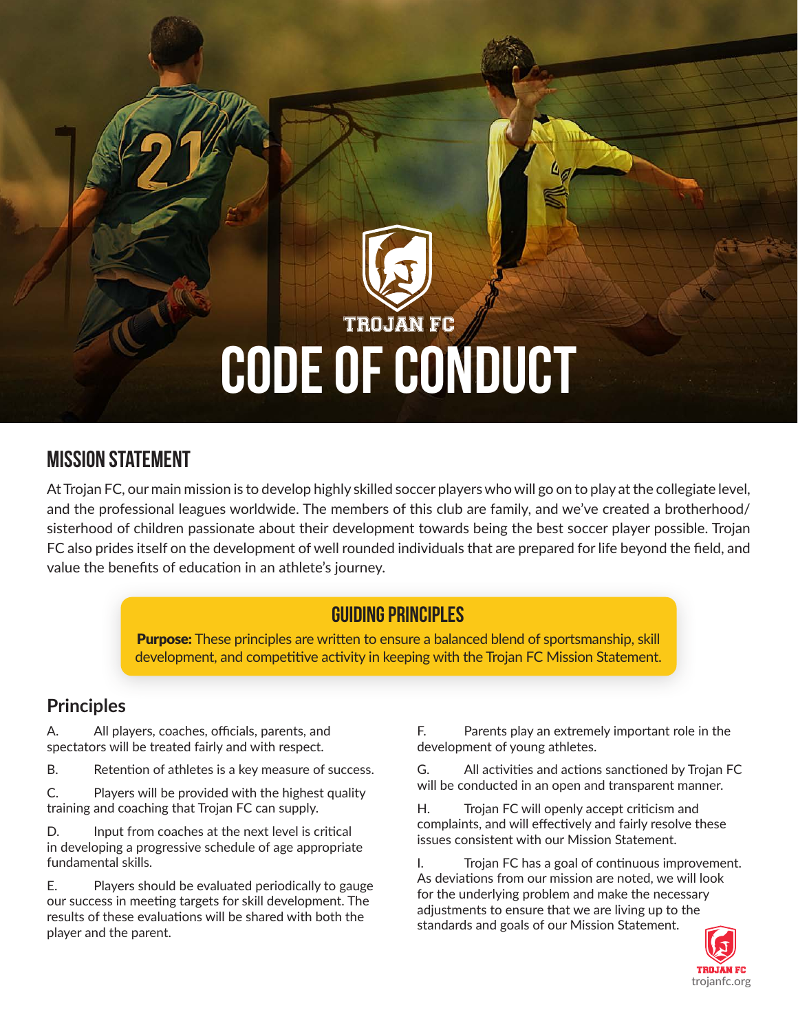# **TROJAN FC** CODE OF CONDUCT

# Mission Statement

At Trojan FC, our main mission is to develop highly skilled soccer players who will go on to play at the collegiate level, and the professional leagues worldwide. The members of this club are family, and we've created a brotherhood/ sisterhood of children passionate about their development towards being the best soccer player possible. Trojan FC also prides itself on the development of well rounded individuals that are prepared for life beyond the field, and value the benefits of education in an athlete's journey.

# GUIDING PRINCIPLES

**Purpose:** These principles are written to ensure a balanced blend of sportsmanship, skill development, and competitive activity in keeping with the Trojan FC Mission Statement.

# **Principles**

A. All players, coaches, officials, parents, and spectators will be treated fairly and with respect.

B. Retention of athletes is a key measure of success.

C. Players will be provided with the highest quality training and coaching that Trojan FC can supply.

D. Input from coaches at the next level is critical in developing a progressive schedule of age appropriate fundamental skills.

E. Players should be evaluated periodically to gauge our success in meeting targets for skill development. The results of these evaluations will be shared with both the player and the parent.

F. Parents play an extremely important role in the development of young athletes.

G. All activities and actions sanctioned by Trojan FC will be conducted in an open and transparent manner.

H. Trojan FC will openly accept criticism and complaints, and will effectively and fairly resolve these issues consistent with our Mission Statement.

I. Trojan FC has a goal of continuous improvement. As deviations from our mission are noted, we will look for the underlying problem and make the necessary adjustments to ensure that we are living up to the standards and goals of our Mission Statement.

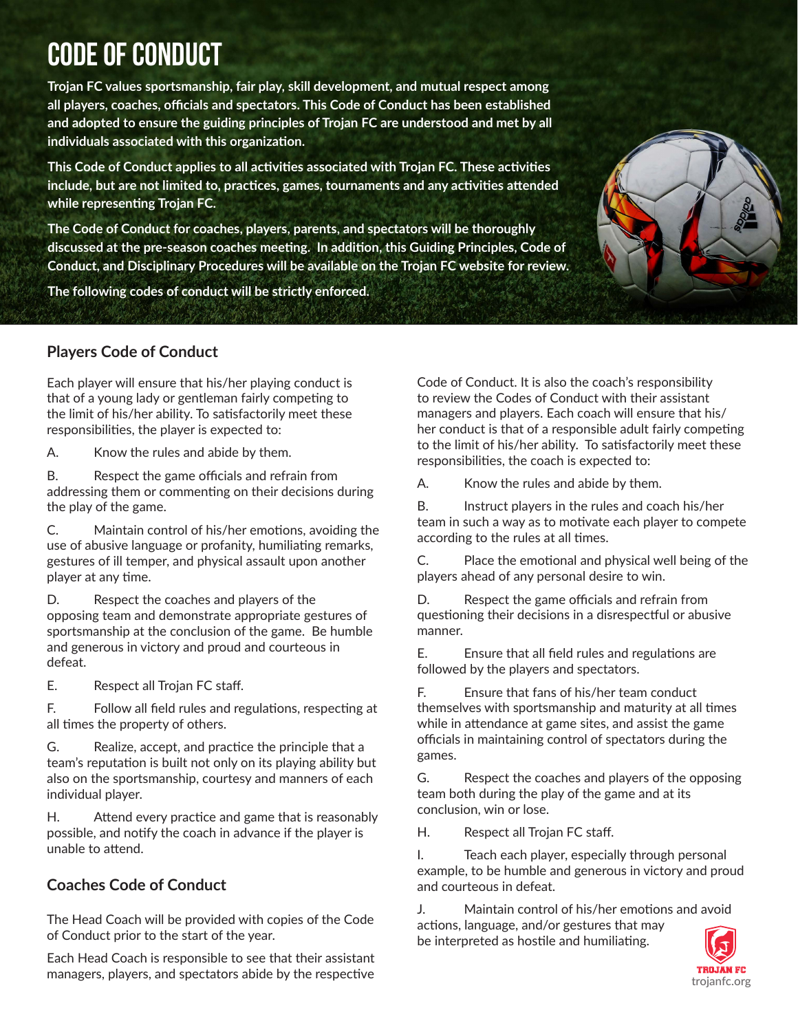# CODE OF CONDUCT

**Trojan FC values sportsmanship, fair play, skill development, and mutual respect among all players, coaches, officials and spectators. This Code of Conduct has been established and adopted to ensure the guiding principles of Trojan FC are understood and met by all individuals associated with this organization.**

**This Code of Conduct applies to all activities associated with Trojan FC. These activities include, but are not limited to, practices, games, tournaments and any activities attended while representing Trojan FC.** 

**The Code of Conduct for coaches, players, parents, and spectators will be thoroughly discussed at the pre-season coaches meeting. In addition, this Guiding Principles, Code of Conduct, and Disciplinary Procedures will be available on the Trojan FC website for review.**

**The following codes of conduct will be strictly enforced.**

# **Players Code of Conduct**

Each player will ensure that his/her playing conduct is that of a young lady or gentleman fairly competing to the limit of his/her ability. To satisfactorily meet these responsibilities, the player is expected to:

A. Know the rules and abide by them.

B. Respect the game officials and refrain from addressing them or commenting on their decisions during the play of the game.

C. Maintain control of his/her emotions, avoiding the use of abusive language or profanity, humiliating remarks, gestures of ill temper, and physical assault upon another player at any time.

D. Respect the coaches and players of the opposing team and demonstrate appropriate gestures of sportsmanship at the conclusion of the game. Be humble and generous in victory and proud and courteous in defeat.

E. Respect all Trojan FC staff.

F. Follow all field rules and regulations, respecting at all times the property of others.

G. Realize, accept, and practice the principle that a team's reputation is built not only on its playing ability but also on the sportsmanship, courtesy and manners of each individual player.

H. Attend every practice and game that is reasonably possible, and notify the coach in advance if the player is unable to attend.

# **Coaches Code of Conduct**

The Head Coach will be provided with copies of the Code of Conduct prior to the start of the year.

Each Head Coach is responsible to see that their assistant managers, players, and spectators abide by the respective

Code of Conduct. It is also the coach's responsibility to review the Codes of Conduct with their assistant managers and players. Each coach will ensure that his/ her conduct is that of a responsible adult fairly competing to the limit of his/her ability. To satisfactorily meet these responsibilities, the coach is expected to:

A. Know the rules and abide by them.

B. Instruct players in the rules and coach his/her team in such a way as to motivate each player to compete according to the rules at all times.

C. Place the emotional and physical well being of the players ahead of any personal desire to win.

D. Respect the game officials and refrain from questioning their decisions in a disrespectful or abusive manner.

E. Ensure that all field rules and regulations are followed by the players and spectators.

F. Ensure that fans of his/her team conduct themselves with sportsmanship and maturity at all times while in attendance at game sites, and assist the game officials in maintaining control of spectators during the games.

G. Respect the coaches and players of the opposing team both during the play of the game and at its conclusion, win or lose.

H. Respect all Trojan FC staff.

I. Teach each player, especially through personal example, to be humble and generous in victory and proud and courteous in defeat.

J. Maintain control of his/her emotions and avoid actions, language, and/or gestures that may be interpreted as hostile and humiliating.



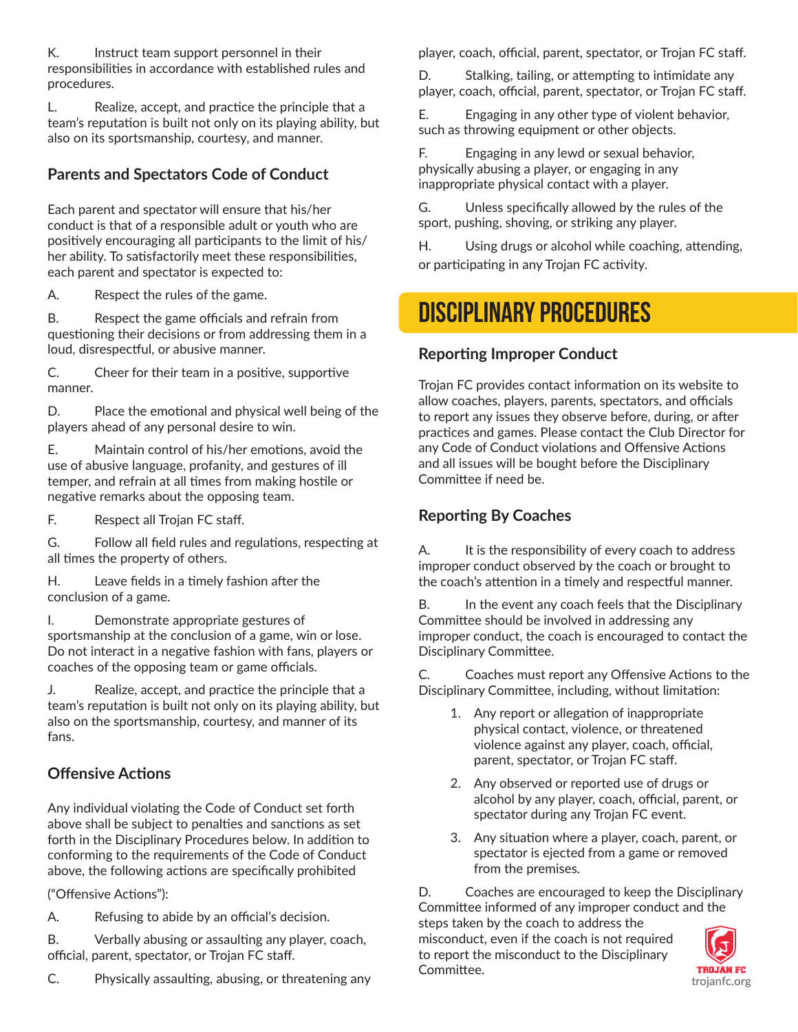K. Instruct team support personnel in their responsibilities in accordance with established rules and procedures.

L. Realize, accept, and practice the principle that a team's reputation is built not only on its playing ability, but also on its sportsmanship, courtesy, and manner.

# **Parents and Spectators Code of Conduct**

Each parent and spectator will ensure that his/her conduct is that of a responsible adult or youth who are positively encouraging all participants to the limit of his/ her ability. To satisfactorily meet these responsibilities, each parent and spectator is expected to:

A. Respect the rules of the game.

B. Respect the game officials and refrain from questioning their decisions or from addressing them in a loud, disrespectful, or abusive manner.

C. Cheer for their team in a positive, supportive manner.

D. Place the emotional and physical well being of the players ahead of any personal desire to win.

E. Maintain control of his/her emotions, avoid the use of abusive language, profanity, and gestures of ill temper, and refrain at all times from making hostile or negative remarks about the opposing team.

F. Respect all Trojan FC staff.

G. Follow all field rules and regulations, respecting at all times the property of others.

H. Leave fields in a timely fashion after the conclusion of a game.

I. Demonstrate appropriate gestures of sportsmanship at the conclusion of a game, win or lose. Do not interact in a negative fashion with fans, players or coaches of the opposing team or game officials.

J. Realize, accept, and practice the principle that a team's reputation is built not only on its playing ability, but also on the sportsmanship, courtesy, and manner of its fans.

# **Offensive Actions**

Any individual violating the Code of Conduct set forth above shall be subject to penalties and sanctions as set forth in the Disciplinary Procedures below. In addition to conforming to the requirements of the Code of Conduct above, the following actions are specifically prohibited

("Offensive Actions"):

A. Refusing to abide by an official's decision.

B. Verbally abusing or assaulting any player, coach, official, parent, spectator, or Trojan FC staff.

C. Physically assaulting, abusing, or threatening any

player, coach, official, parent, spectator, or Trojan FC staff.

D. Stalking, tailing, or attempting to intimidate any player, coach, official, parent, spectator, or Trojan FC staff.

E. Engaging in any other type of violent behavior, such as throwing equipment or other objects.

F. Engaging in any lewd or sexual behavior, physically abusing a player, or engaging in any inappropriate physical contact with a player.

G. Unless specifically allowed by the rules of the sport, pushing, shoving, or striking any player.

H. Using drugs or alcohol while coaching, attending, or participating in any Trojan FC activity.

# DISCIPLINARY PROCEDURES

# **Reporting Improper Conduct**

Trojan FC provides contact information on its website to allow coaches, players, parents, spectators, and officials to report any issues they observe before, during, or after practices and games. Please contact the Club Director for any Code of Conduct violations and Offensive Actions and all issues will be bought before the Disciplinary Committee if need be.

# **Reporting By Coaches**

A. It is the responsibility of every coach to address improper conduct observed by the coach or brought to the coach's attention in a timely and respectful manner.

B. In the event any coach feels that the Disciplinary Committee should be involved in addressing any improper conduct, the coach is encouraged to contact the Disciplinary Committee.

C. Coaches must report any Offensive Actions to the Disciplinary Committee, including, without limitation:

- 1. Any report or allegation of inappropriate physical contact, violence, or threatened violence against any player, coach, official, parent, spectator, or Trojan FC staff.
- 2. Any observed or reported use of drugs or alcohol by any player, coach, official, parent, or spectator during any Trojan FC event.
- 3. Any situation where a player, coach, parent, or spectator is ejected from a game or removed from the premises.

D. Coaches are encouraged to keep the Disciplinary Committee informed of any improper conduct and the steps taken by the coach to address the misconduct, even if the coach is not required to report the misconduct to the Disciplinary Committee.